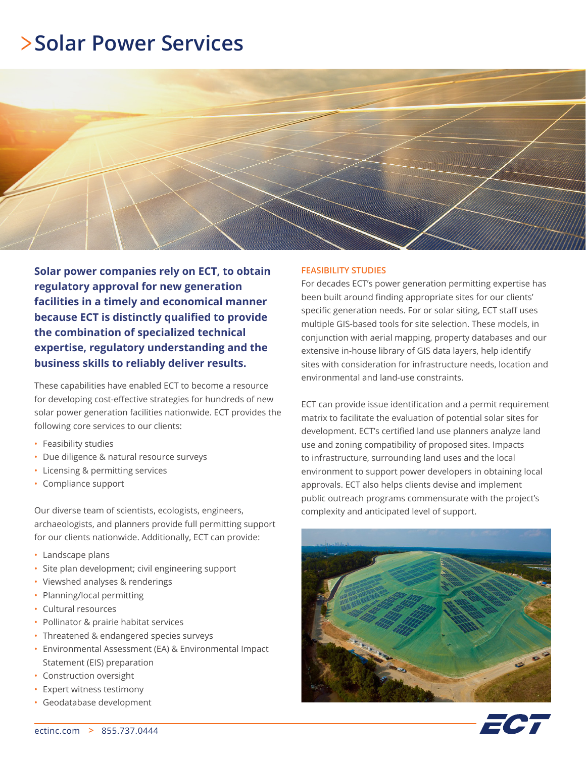### **Solar Power Services**



**Solar power companies rely on ECT, to obtain regulatory approval for new generation facilities in a timely and economical manner because ECT is distinctly qualified to provide the combination of specialized technical expertise, regulatory understanding and the business skills to reliably deliver results.** 

These capabilities have enabled ECT to become a resource for developing cost-effective strategies for hundreds of new solar power generation facilities nationwide. ECT provides the following core services to our clients:

- Feasibility studies
- Due diligence & natural resource surveys
- Licensing & permitting services
- Compliance support

Our diverse team of scientists, ecologists, engineers, archaeologists, and planners provide full permitting support for our clients nationwide. Additionally, ECT can provide:

- Landscape plans
- Site plan development; civil engineering support
- Viewshed analyses & renderings
- Planning/local permitting
- Cultural resources
- Pollinator & prairie habitat services
- Threatened & endangered species surveys
- Environmental Assessment (EA) & Environmental Impact Statement (EIS) preparation
- Construction oversight
- Expert witness testimony
- Geodatabase development

#### **FEASIBILITY STUDIES**

For decades ECT's power generation permitting expertise has been built around finding appropriate sites for our clients' specific generation needs. For or solar siting, ECT staff uses multiple GIS-based tools for site selection. These models, in conjunction with aerial mapping, property databases and our extensive in-house library of GIS data layers, help identify sites with consideration for infrastructure needs, location and environmental and land-use constraints.

ECT can provide issue identification and a permit requirement matrix to facilitate the evaluation of potential solar sites for development. ECT's certified land use planners analyze land use and zoning compatibility of proposed sites. Impacts to infrastructure, surrounding land uses and the local environment to support power developers in obtaining local approvals. ECT also helps clients devise and implement public outreach programs commensurate with the project's complexity and anticipated level of support.